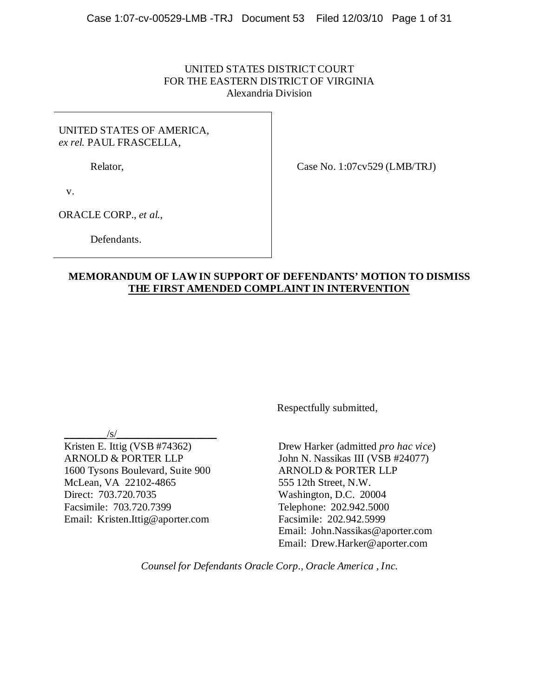## UNITED STATES DISTRICT COURT FOR THE EASTERN DISTRICT OF VIRGINIA Alexandria Division

## UNITED STATES OF AMERICA, *ex rel.* PAUL FRASCELLA,

Relator,

Case No. 1:07cv529 (LMB/TRJ)

v.

ORACLE CORP., *et al.*,

Defendants.

## **MEMORANDUM OF LAW IN SUPPORT OF DEFENDANTS' MOTION TO DISMISS THE FIRST AMENDED COMPLAINT IN INTERVENTION**

Respectfully submitted,

 $\frac{|s|}{s}$ 

Kristen E. Ittig (VSB #74362) ARNOLD & PORTER LLP 1600 Tysons Boulevard, Suite 900 McLean, VA 22102-4865 Direct: 703.720.7035 Facsimile: 703.720.7399 Email: Kristen.Ittig@aporter.com

Drew Harker (admitted *pro hac vice*) John N. Nassikas III (VSB #24077) ARNOLD & PORTER LLP 555 12th Street, N.W. Washington, D.C. 20004 Telephone: 202.942.5000 Facsimile: 202.942.5999 Email: John.Nassikas@aporter.com Email: Drew.Harker@aporter.com

*Counsel for Defendants Oracle Corp., Oracle America , Inc.*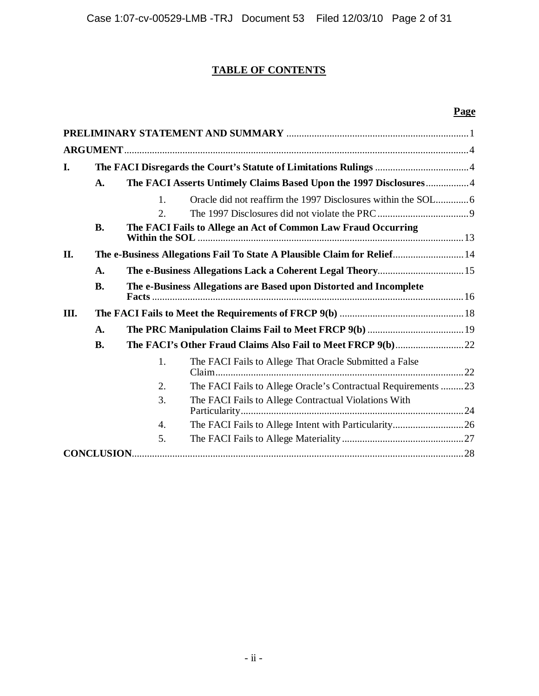# **TABLE OF CONTENTS**

# **Page**

| <b>ARGUMENT</b>    |           |                                                                          |                                                                    |  |
|--------------------|-----------|--------------------------------------------------------------------------|--------------------------------------------------------------------|--|
| I.                 |           |                                                                          |                                                                    |  |
|                    | A.        | The FACI Asserts Untimely Claims Based Upon the 1997 Disclosures4        |                                                                    |  |
|                    |           | $\mathbf{1}$ .                                                           |                                                                    |  |
|                    |           | 2.                                                                       |                                                                    |  |
|                    | <b>B.</b> | The FACI Fails to Allege an Act of Common Law Fraud Occurring            |                                                                    |  |
| П.                 |           | The e-Business Allegations Fail To State A Plausible Claim for Relief 14 |                                                                    |  |
|                    | A.        |                                                                          |                                                                    |  |
|                    | <b>B.</b> |                                                                          | The e-Business Allegations are Based upon Distorted and Incomplete |  |
| Ш.                 |           |                                                                          |                                                                    |  |
|                    | A.        |                                                                          |                                                                    |  |
|                    | <b>B.</b> |                                                                          |                                                                    |  |
|                    |           | 1.                                                                       | The FACI Fails to Allege That Oracle Submitted a False             |  |
|                    |           | 2.                                                                       | The FACI Fails to Allege Oracle's Contractual Requirements 23      |  |
|                    |           | 3.                                                                       | The FACI Fails to Allege Contractual Violations With               |  |
|                    |           | 4.                                                                       |                                                                    |  |
|                    |           | 5.                                                                       |                                                                    |  |
| <b>CONCLUSION.</b> |           |                                                                          |                                                                    |  |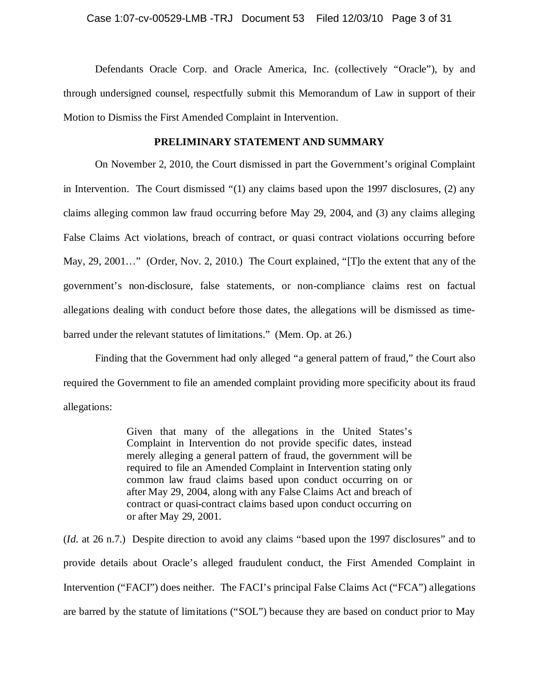# Case 1:07-cv-00529-LMB -TRJ Document 53 Filed 12/03/10 Page 3 of 31

Defendants Oracle Corp. and Oracle America, Inc. (collectively "Oracle"), by and through undersigned counsel, respectfully submit this Memorandum of Law in support of their Motion to Dismiss the First Amended Complaint in Intervention.

## **PRELIMINARY STATEMENT AND SUMMARY**

On November 2, 2010, the Court dismissed in part the Government's original Complaint in Intervention. The Court dismissed "(1) any claims based upon the 1997 disclosures, (2) any claims alleging common law fraud occurring before May 29, 2004, and (3) any claims alleging False Claims Act violations, breach of contract, or quasi contract violations occurring before May, 29, 2001…" (Order, Nov. 2, 2010.) The Court explained, "[T]o the extent that any of the government's non-disclosure, false statements, or non-compliance claims rest on factual allegations dealing with conduct before those dates, the allegations will be dismissed as timebarred under the relevant statutes of limitations." (Mem. Op. at 26.)

Finding that the Government had only alleged "a general pattern of fraud," the Court also required the Government to file an amended complaint providing more specificity about its fraud allegations:

> Given that many of the allegations in the United States's Complaint in Intervention do not provide specific dates, instead merely alleging a general pattern of fraud, the government will be required to file an Amended Complaint in Intervention stating only common law fraud claims based upon conduct occurring on or after May 29, 2004, along with any False Claims Act and breach of contract or quasi-contract claims based upon conduct occurring on or after May 29, 2001.

(*Id.* at 26 n.7.) Despite direction to avoid any claims "based upon the 1997 disclosures" and to provide details about Oracle's alleged fraudulent conduct, the First Amended Complaint in Intervention ("FACI") does neither. The FACI's principal False Claims Act ("FCA") allegations are barred by the statute of limitations ("SOL") because they are based on conduct prior to May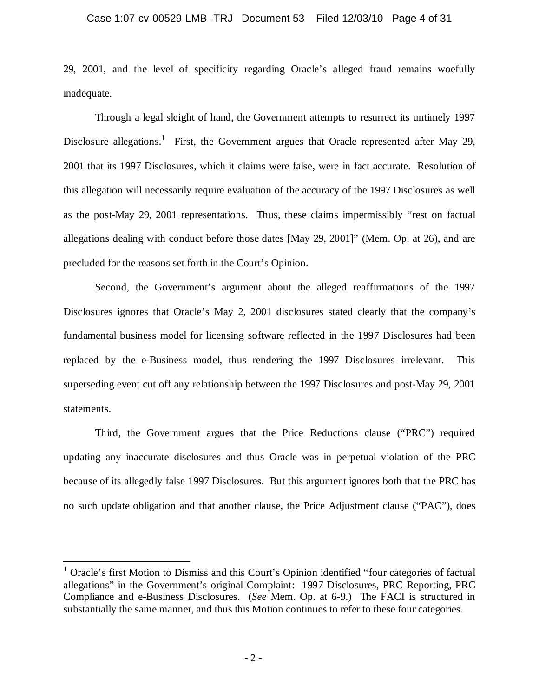## Case 1:07-cv-00529-LMB -TRJ Document 53 Filed 12/03/10 Page 4 of 31

29, 2001, and the level of specificity regarding Oracle's alleged fraud remains woefully inadequate.

Through a legal sleight of hand, the Government attempts to resurrect its untimely 1997 Disclosure allegations.<sup>1</sup> First, the Government argues that Oracle represented after May 29, 2001 that its 1997 Disclosures, which it claims were false, were in fact accurate. Resolution of this allegation will necessarily require evaluation of the accuracy of the 1997 Disclosures as well as the post-May 29, 2001 representations. Thus, these claims impermissibly "rest on factual allegations dealing with conduct before those dates [May 29, 2001]" (Mem. Op. at 26), and are precluded for the reasons set forth in the Court's Opinion.

Second, the Government's argument about the alleged reaffirmations of the 1997 Disclosures ignores that Oracle's May 2, 2001 disclosures stated clearly that the company's fundamental business model for licensing software reflected in the 1997 Disclosures had been replaced by the e-Business model, thus rendering the 1997 Disclosures irrelevant. This superseding event cut off any relationship between the 1997 Disclosures and post-May 29, 2001 statements.

Third, the Government argues that the Price Reductions clause ("PRC") required updating any inaccurate disclosures and thus Oracle was in perpetual violation of the PRC because of its allegedly false 1997 Disclosures. But this argument ignores both that the PRC has no such update obligation and that another clause, the Price Adjustment clause ("PAC"), does

 $<sup>1</sup>$  Oracle's first Motion to Dismiss and this Court's Opinion identified "four categories of factual</sup> allegations" in the Government's original Complaint: 1997 Disclosures, PRC Reporting, PRC Compliance and e-Business Disclosures. (*See* Mem. Op. at 6-9.) The FACI is structured in substantially the same manner, and thus this Motion continues to refer to these four categories.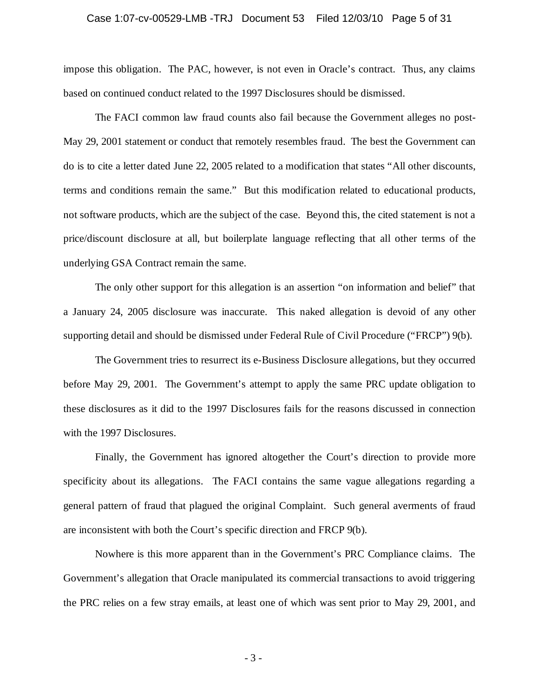#### Case 1:07-cv-00529-LMB -TRJ Document 53 Filed 12/03/10 Page 5 of 31

impose this obligation. The PAC, however, is not even in Oracle's contract. Thus, any claims based on continued conduct related to the 1997 Disclosures should be dismissed.

The FACI common law fraud counts also fail because the Government alleges no post-May 29, 2001 statement or conduct that remotely resembles fraud. The best the Government can do is to cite a letter dated June 22, 2005 related to a modification that states "All other discounts, terms and conditions remain the same." But this modification related to educational products, not software products, which are the subject of the case. Beyond this, the cited statement is not a price/discount disclosure at all, but boilerplate language reflecting that all other terms of the underlying GSA Contract remain the same.

The only other support for this allegation is an assertion "on information and belief" that a January 24, 2005 disclosure was inaccurate. This naked allegation is devoid of any other supporting detail and should be dismissed under Federal Rule of Civil Procedure ("FRCP") 9(b).

The Government tries to resurrect its e-Business Disclosure allegations, but they occurred before May 29, 2001. The Government's attempt to apply the same PRC update obligation to these disclosures as it did to the 1997 Disclosures fails for the reasons discussed in connection with the 1997 Disclosures.

Finally, the Government has ignored altogether the Court's direction to provide more specificity about its allegations. The FACI contains the same vague allegations regarding a general pattern of fraud that plagued the original Complaint. Such general averments of fraud are inconsistent with both the Court's specific direction and FRCP 9(b).

Nowhere is this more apparent than in the Government's PRC Compliance claims. The Government's allegation that Oracle manipulated its commercial transactions to avoid triggering the PRC relies on a few stray emails, at least one of which was sent prior to May 29, 2001, and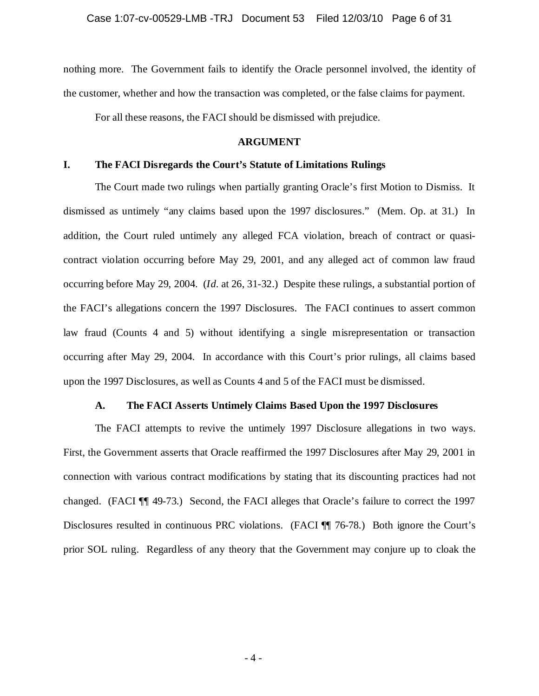nothing more. The Government fails to identify the Oracle personnel involved, the identity of the customer, whether and how the transaction was completed, or the false claims for payment.

For all these reasons, the FACI should be dismissed with prejudice.

#### **ARGUMENT**

### **I. The FACI Disregards the Court's Statute of Limitations Rulings**

The Court made two rulings when partially granting Oracle's first Motion to Dismiss. It dismissed as untimely "any claims based upon the 1997 disclosures." (Mem. Op. at 31.) In addition, the Court ruled untimely any alleged FCA violation, breach of contract or quasicontract violation occurring before May 29, 2001, and any alleged act of common law fraud occurring before May 29, 2004. (*Id.* at 26, 31-32.) Despite these rulings, a substantial portion of the FACI's allegations concern the 1997 Disclosures. The FACI continues to assert common law fraud (Counts 4 and 5) without identifying a single misrepresentation or transaction occurring after May 29, 2004. In accordance with this Court's prior rulings, all claims based upon the 1997 Disclosures, as well as Counts 4 and 5 of the FACI must be dismissed.

## **A. The FACI Asserts Untimely Claims Based Upon the 1997 Disclosures**

The FACI attempts to revive the untimely 1997 Disclosure allegations in two ways. First, the Government asserts that Oracle reaffirmed the 1997 Disclosures after May 29, 2001 in connection with various contract modifications by stating that its discounting practices had not changed. (FACI ¶¶ 49-73.) Second, the FACI alleges that Oracle's failure to correct the 1997 Disclosures resulted in continuous PRC violations. (FACI ¶¶ 76-78.) Both ignore the Court's prior SOL ruling. Regardless of any theory that the Government may conjure up to cloak the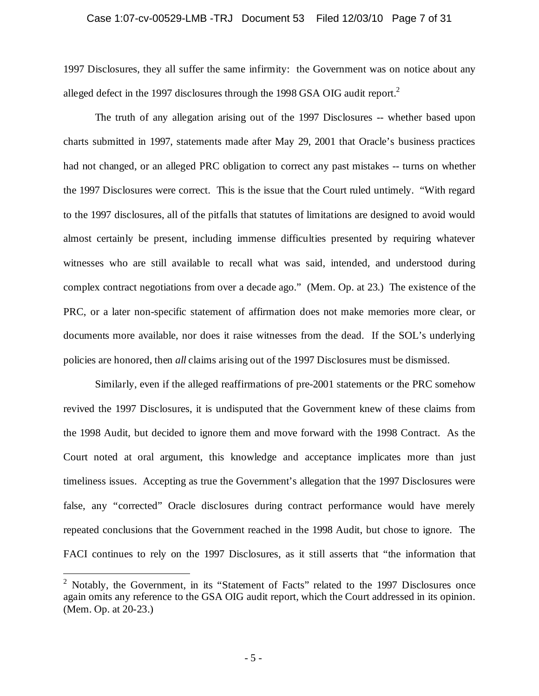#### Case 1:07-cv-00529-LMB -TRJ Document 53 Filed 12/03/10 Page 7 of 31

1997 Disclosures, they all suffer the same infirmity: the Government was on notice about any alleged defect in the 1997 disclosures through the 1998 GSA OIG audit report.<sup>2</sup>

The truth of any allegation arising out of the 1997 Disclosures -- whether based upon charts submitted in 1997, statements made after May 29, 2001 that Oracle's business practices had not changed, or an alleged PRC obligation to correct any past mistakes -- turns on whether the 1997 Disclosures were correct. This is the issue that the Court ruled untimely. "With regard to the 1997 disclosures, all of the pitfalls that statutes of limitations are designed to avoid would almost certainly be present, including immense difficulties presented by requiring whatever witnesses who are still available to recall what was said, intended, and understood during complex contract negotiations from over a decade ago." (Mem. Op. at 23.) The existence of the PRC, or a later non-specific statement of affirmation does not make memories more clear, or documents more available, nor does it raise witnesses from the dead. If the SOL's underlying policies are honored, then *all* claims arising out of the 1997 Disclosures must be dismissed.

Similarly, even if the alleged reaffirmations of pre-2001 statements or the PRC somehow revived the 1997 Disclosures, it is undisputed that the Government knew of these claims from the 1998 Audit, but decided to ignore them and move forward with the 1998 Contract. As the Court noted at oral argument, this knowledge and acceptance implicates more than just timeliness issues. Accepting as true the Government's allegation that the 1997 Disclosures were false, any "corrected" Oracle disclosures during contract performance would have merely repeated conclusions that the Government reached in the 1998 Audit, but chose to ignore. The FACI continues to rely on the 1997 Disclosures, as it still asserts that "the information that

<sup>&</sup>lt;sup>2</sup> Notably, the Government, in its "Statement of Facts" related to the 1997 Disclosures once again omits any reference to the GSA OIG audit report, which the Court addressed in its opinion. (Mem. Op. at 20-23.)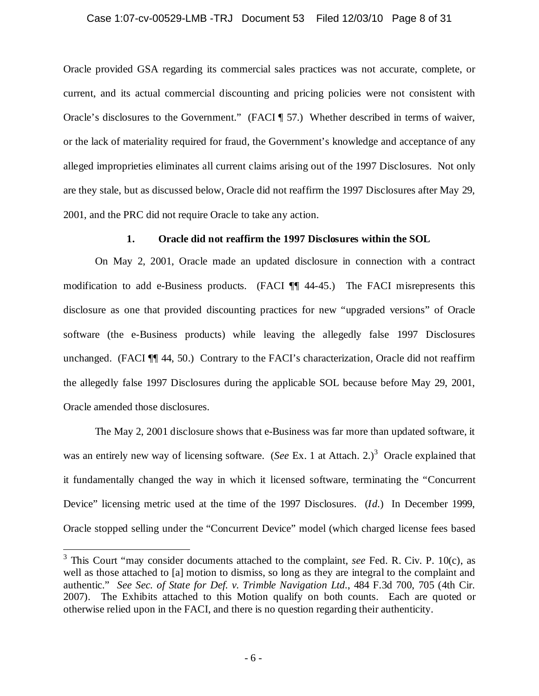### Case 1:07-cv-00529-LMB -TRJ Document 53 Filed 12/03/10 Page 8 of 31

Oracle provided GSA regarding its commercial sales practices was not accurate, complete, or current, and its actual commercial discounting and pricing policies were not consistent with Oracle's disclosures to the Government." (FACI ¶ 57.) Whether described in terms of waiver, or the lack of materiality required for fraud, the Government's knowledge and acceptance of any alleged improprieties eliminates all current claims arising out of the 1997 Disclosures. Not only are they stale, but as discussed below, Oracle did not reaffirm the 1997 Disclosures after May 29, 2001, and the PRC did not require Oracle to take any action.

## **1. Oracle did not reaffirm the 1997 Disclosures within the SOL**

On May 2, 2001, Oracle made an updated disclosure in connection with a contract modification to add e-Business products. (FACI ¶¶ 44-45.) The FACI misrepresents this disclosure as one that provided discounting practices for new "upgraded versions" of Oracle software (the e-Business products) while leaving the allegedly false 1997 Disclosures unchanged. (FACI ¶¶ 44, 50.) Contrary to the FACI's characterization, Oracle did not reaffirm the allegedly false 1997 Disclosures during the applicable SOL because before May 29, 2001, Oracle amended those disclosures.

The May 2, 2001 disclosure shows that e-Business was far more than updated software, it was an entirely new way of licensing software. (*See* Ex. 1 at Attach. 2.)<sup>3</sup> Oracle explained that it fundamentally changed the way in which it licensed software, terminating the "Concurrent Device" licensing metric used at the time of the 1997 Disclosures. (*Id.*) In December 1999, Oracle stopped selling under the "Concurrent Device" model (which charged license fees based

<sup>3</sup> This Court "may consider documents attached to the complaint, *see* Fed. R. Civ. P. 10(c), as well as those attached to [a] motion to dismiss, so long as they are integral to the complaint and authentic." *See Sec. of State for Def. v. Trimble Navigation Ltd.*, 484 F.3d 700, 705 (4th Cir. 2007). The Exhibits attached to this Motion qualify on both counts. Each are quoted or otherwise relied upon in the FACI, and there is no question regarding their authenticity.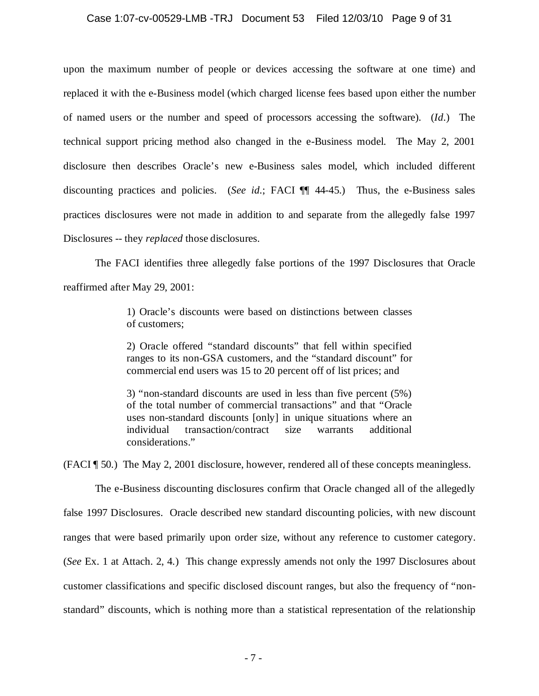# Case 1:07-cv-00529-LMB -TRJ Document 53 Filed 12/03/10 Page 9 of 31

upon the maximum number of people or devices accessing the software at one time) and replaced it with the e-Business model (which charged license fees based upon either the number of named users or the number and speed of processors accessing the software). (*Id.*) The technical support pricing method also changed in the e-Business model. The May 2, 2001 disclosure then describes Oracle's new e-Business sales model, which included different discounting practices and policies. (*See id.*; FACI ¶¶ 44-45.) Thus, the e-Business sales practices disclosures were not made in addition to and separate from the allegedly false 1997 Disclosures -- they *replaced* those disclosures.

The FACI identifies three allegedly false portions of the 1997 Disclosures that Oracle reaffirmed after May 29, 2001:

> 1) Oracle's discounts were based on distinctions between classes of customers;

> 2) Oracle offered "standard discounts" that fell within specified ranges to its non-GSA customers, and the "standard discount" for commercial end users was 15 to 20 percent off of list prices; and

> 3) "non-standard discounts are used in less than five percent (5%) of the total number of commercial transactions" and that "Oracle uses non-standard discounts [only] in unique situations where an individual transaction/contract size warrants additional considerations."

(FACI ¶ 50.) The May 2, 2001 disclosure, however, rendered all of these concepts meaningless.

The e-Business discounting disclosures confirm that Oracle changed all of the allegedly false 1997 Disclosures. Oracle described new standard discounting policies, with new discount ranges that were based primarily upon order size, without any reference to customer category. (*See* Ex. 1 at Attach. 2, 4.) This change expressly amends not only the 1997 Disclosures about customer classifications and specific disclosed discount ranges, but also the frequency of "nonstandard" discounts, which is nothing more than a statistical representation of the relationship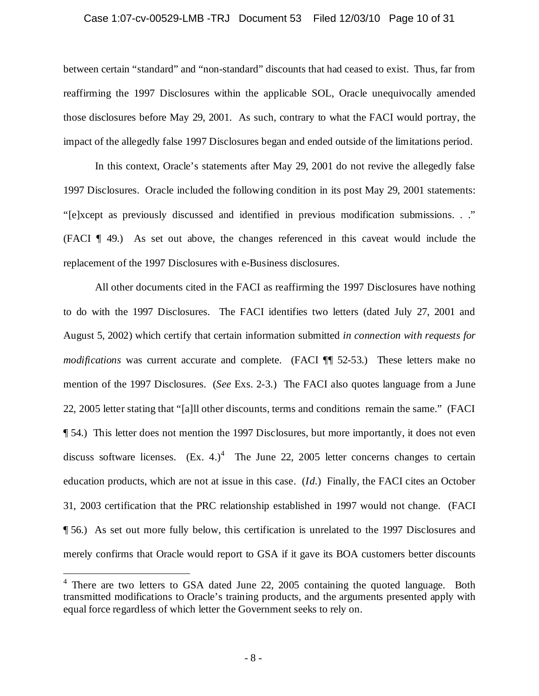#### Case 1:07-cv-00529-LMB -TRJ Document 53 Filed 12/03/10 Page 10 of 31

between certain "standard" and "non-standard" discounts that had ceased to exist. Thus, far from reaffirming the 1997 Disclosures within the applicable SOL, Oracle unequivocally amended those disclosures before May 29, 2001. As such, contrary to what the FACI would portray, the impact of the allegedly false 1997 Disclosures began and ended outside of the limitations period.

In this context, Oracle's statements after May 29, 2001 do not revive the allegedly false 1997 Disclosures. Oracle included the following condition in its post May 29, 2001 statements: "[e]xcept as previously discussed and identified in previous modification submissions. . ." (FACI ¶ 49.) As set out above, the changes referenced in this caveat would include the replacement of the 1997 Disclosures with e-Business disclosures.

All other documents cited in the FACI as reaffirming the 1997 Disclosures have nothing to do with the 1997 Disclosures. The FACI identifies two letters (dated July 27, 2001 and August 5, 2002) which certify that certain information submitted *in connection with requests for modifications* was current accurate and complete. (FACI  $\P$  52-53.) These letters make no mention of the 1997 Disclosures. (*See* Exs. 2-3.) The FACI also quotes language from a June 22, 2005 letter stating that "[a]ll other discounts, terms and conditions remain the same." (FACI ¶ 54.) This letter does not mention the 1997 Disclosures, but more importantly, it does not even discuss software licenses.  $(Ex. 4.)^4$  The June 22, 2005 letter concerns changes to certain education products, which are not at issue in this case. (*Id.*) Finally, the FACI cites an October 31, 2003 certification that the PRC relationship established in 1997 would not change. (FACI ¶ 56.) As set out more fully below, this certification is unrelated to the 1997 Disclosures and merely confirms that Oracle would report to GSA if it gave its BOA customers better discounts

<sup>&</sup>lt;sup>4</sup> There are two letters to GSA dated June 22, 2005 containing the quoted language. Both transmitted modifications to Oracle's training products, and the arguments presented apply with equal force regardless of which letter the Government seeks to rely on.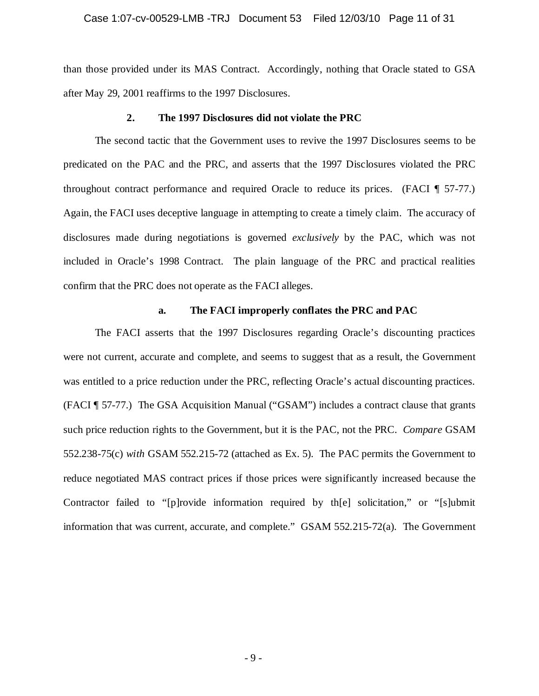#### Case 1:07-cv-00529-LMB -TRJ Document 53 Filed 12/03/10 Page 11 of 31

than those provided under its MAS Contract. Accordingly, nothing that Oracle stated to GSA after May 29, 2001 reaffirms to the 1997 Disclosures.

#### **2. The 1997 Disclosures did not violate the PRC**

The second tactic that the Government uses to revive the 1997 Disclosures seems to be predicated on the PAC and the PRC, and asserts that the 1997 Disclosures violated the PRC throughout contract performance and required Oracle to reduce its prices. (FACI ¶ 57-77.) Again, the FACI uses deceptive language in attempting to create a timely claim. The accuracy of disclosures made during negotiations is governed *exclusively* by the PAC, which was not included in Oracle's 1998 Contract. The plain language of the PRC and practical realities confirm that the PRC does not operate as the FACI alleges.

## **a. The FACI improperly conflates the PRC and PAC**

The FACI asserts that the 1997 Disclosures regarding Oracle's discounting practices were not current, accurate and complete, and seems to suggest that as a result, the Government was entitled to a price reduction under the PRC, reflecting Oracle's actual discounting practices. (FACI ¶ 57-77.) The GSA Acquisition Manual ("GSAM") includes a contract clause that grants such price reduction rights to the Government, but it is the PAC, not the PRC. *Compare* GSAM 552.238-75(c) *with* GSAM 552.215-72 (attached as Ex. 5). The PAC permits the Government to reduce negotiated MAS contract prices if those prices were significantly increased because the Contractor failed to "[p]rovide information required by th[e] solicitation," or "[s]ubmit information that was current, accurate, and complete." GSAM 552.215-72(a). The Government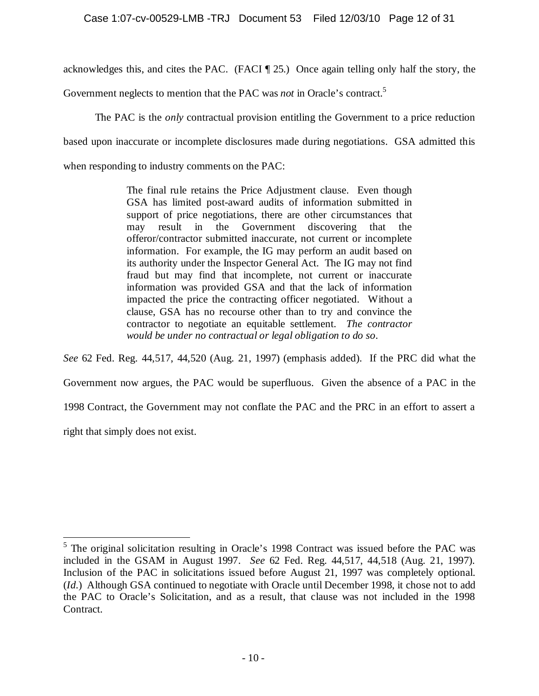acknowledges this, and cites the PAC. (FACI ¶ 25.) Once again telling only half the story, the

Government neglects to mention that the PAC was *not* in Oracle's contract.<sup>5</sup>

The PAC is the *only* contractual provision entitling the Government to a price reduction based upon inaccurate or incomplete disclosures made during negotiations. GSA admitted this when responding to industry comments on the PAC:

> The final rule retains the Price Adjustment clause. Even though GSA has limited post-award audits of information submitted in support of price negotiations, there are other circumstances that may result in the Government discovering that the offeror/contractor submitted inaccurate, not current or incomplete information. For example, the IG may perform an audit based on its authority under the Inspector General Act. The IG may not find fraud but may find that incomplete, not current or inaccurate information was provided GSA and that the lack of information impacted the price the contracting officer negotiated. Without a clause, GSA has no recourse other than to try and convince the contractor to negotiate an equitable settlement. *The contractor would be under no contractual or legal obligation to do so*.

*See* 62 Fed. Reg. 44,517, 44,520 (Aug. 21, 1997) (emphasis added). If the PRC did what the Government now argues, the PAC would be superfluous. Given the absence of a PAC in the 1998 Contract, the Government may not conflate the PAC and the PRC in an effort to assert a right that simply does not exist.

 $<sup>5</sup>$  The original solicitation resulting in Oracle's 1998 Contract was issued before the PAC was</sup> included in the GSAM in August 1997. *See* 62 Fed. Reg. 44,517, 44,518 (Aug. 21, 1997). Inclusion of the PAC in solicitations issued before August 21, 1997 was completely optional. (*Id.*) Although GSA continued to negotiate with Oracle until December 1998, it chose not to add the PAC to Oracle's Solicitation, and as a result, that clause was not included in the 1998 Contract.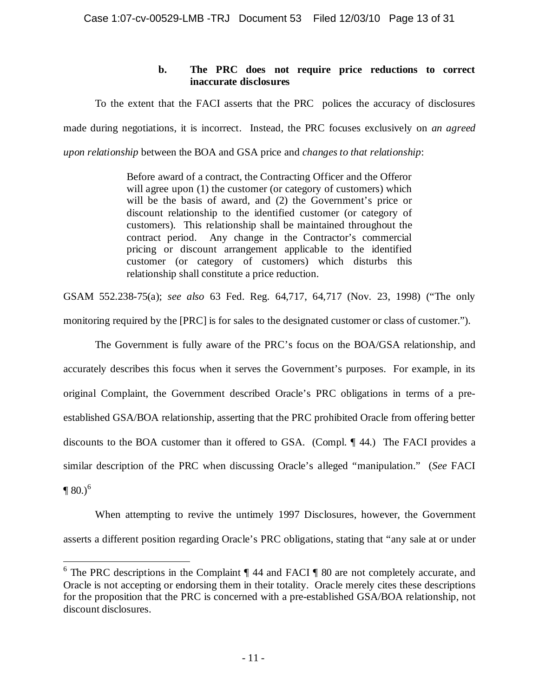## **b. The PRC does not require price reductions to correct inaccurate disclosures**

To the extent that the FACI asserts that the PRC polices the accuracy of disclosures made during negotiations, it is incorrect. Instead, the PRC focuses exclusively on *an agreed upon relationship* between the BOA and GSA price and *changes to that relationship*:

> Before award of a contract, the Contracting Officer and the Offeror will agree upon (1) the customer (or category of customers) which will be the basis of award, and (2) the Government's price or discount relationship to the identified customer (or category of customers). This relationship shall be maintained throughout the contract period. Any change in the Contractor's commercial pricing or discount arrangement applicable to the identified customer (or category of customers) which disturbs this relationship shall constitute a price reduction.

GSAM 552.238-75(a); *see also* 63 Fed. Reg. 64,717, 64,717 (Nov. 23, 1998) ("The only monitoring required by the [PRC] is for sales to the designated customer or class of customer.").

The Government is fully aware of the PRC's focus on the BOA/GSA relationship, and accurately describes this focus when it serves the Government's purposes. For example, in its original Complaint, the Government described Oracle's PRC obligations in terms of a preestablished GSA/BOA relationship, asserting that the PRC prohibited Oracle from offering better discounts to the BOA customer than it offered to GSA. (Compl. ¶ 44.) The FACI provides a similar description of the PRC when discussing Oracle's alleged "manipulation." (*See* FACI  $\P(80.)^6$ 

When attempting to revive the untimely 1997 Disclosures, however, the Government asserts a different position regarding Oracle's PRC obligations, stating that "any sale at or under

<sup>6</sup> The PRC descriptions in the Complaint ¶ 44 and FACI ¶ 80 are not completely accurate, and Oracle is not accepting or endorsing them in their totality. Oracle merely cites these descriptions for the proposition that the PRC is concerned with a pre-established GSA/BOA relationship, not discount disclosures.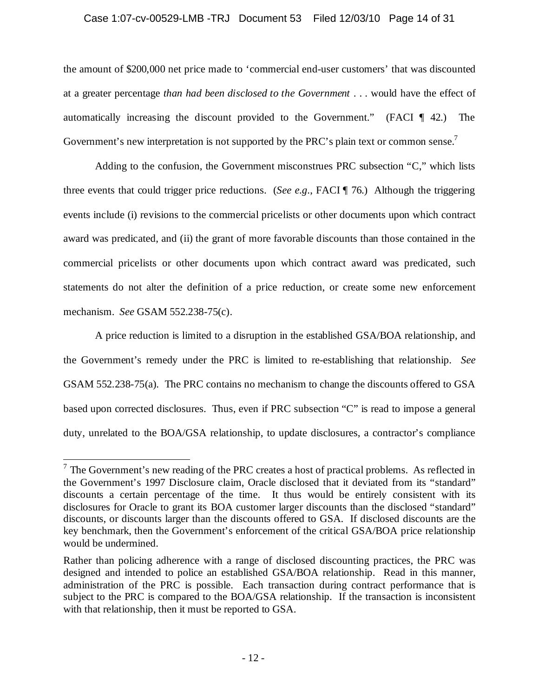## Case 1:07-cv-00529-LMB -TRJ Document 53 Filed 12/03/10 Page 14 of 31

the amount of \$200,000 net price made to 'commercial end-user customers' that was discounted at a greater percentage *than had been disclosed to the Government* . . . would have the effect of automatically increasing the discount provided to the Government." (FACI ¶ 42.) The Government's new interpretation is not supported by the PRC's plain text or common sense.<sup>7</sup>

Adding to the confusion, the Government misconstrues PRC subsection "C," which lists three events that could trigger price reductions. (*See e.g.*, FACI ¶ 76.) Although the triggering events include (i) revisions to the commercial pricelists or other documents upon which contract award was predicated, and (ii) the grant of more favorable discounts than those contained in the commercial pricelists or other documents upon which contract award was predicated, such statements do not alter the definition of a price reduction, or create some new enforcement mechanism. *See* GSAM 552.238-75(c).

A price reduction is limited to a disruption in the established GSA/BOA relationship, and the Government's remedy under the PRC is limited to re-establishing that relationship. *See* GSAM 552.238-75(a). The PRC contains no mechanism to change the discounts offered to GSA based upon corrected disclosures. Thus, even if PRC subsection "C" is read to impose a general duty, unrelated to the BOA/GSA relationship, to update disclosures, a contractor's compliance

 $7$  The Government's new reading of the PRC creates a host of practical problems. As reflected in the Government's 1997 Disclosure claim, Oracle disclosed that it deviated from its "standard" discounts a certain percentage of the time. It thus would be entirely consistent with its disclosures for Oracle to grant its BOA customer larger discounts than the disclosed "standard" discounts, or discounts larger than the discounts offered to GSA. If disclosed discounts are the key benchmark, then the Government's enforcement of the critical GSA/BOA price relationship would be undermined.

Rather than policing adherence with a range of disclosed discounting practices, the PRC was designed and intended to police an established GSA/BOA relationship. Read in this manner, administration of the PRC is possible. Each transaction during contract performance that is subject to the PRC is compared to the BOA/GSA relationship. If the transaction is inconsistent with that relationship, then it must be reported to GSA.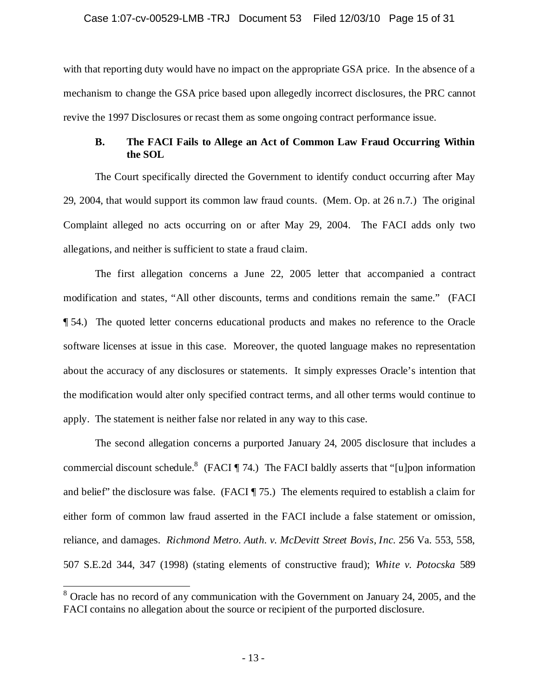## Case 1:07-cv-00529-LMB -TRJ Document 53 Filed 12/03/10 Page 15 of 31

with that reporting duty would have no impact on the appropriate GSA price. In the absence of a mechanism to change the GSA price based upon allegedly incorrect disclosures, the PRC cannot revive the 1997 Disclosures or recast them as some ongoing contract performance issue.

## **B. The FACI Fails to Allege an Act of Common Law Fraud Occurring Within the SOL**

The Court specifically directed the Government to identify conduct occurring after May 29, 2004, that would support its common law fraud counts. (Mem. Op. at 26 n.7.) The original Complaint alleged no acts occurring on or after May 29, 2004. The FACI adds only two allegations, and neither is sufficient to state a fraud claim.

The first allegation concerns a June 22, 2005 letter that accompanied a contract modification and states, "All other discounts, terms and conditions remain the same." (FACI ¶ 54.) The quoted letter concerns educational products and makes no reference to the Oracle software licenses at issue in this case. Moreover, the quoted language makes no representation about the accuracy of any disclosures or statements. It simply expresses Oracle's intention that the modification would alter only specified contract terms, and all other terms would continue to apply. The statement is neither false nor related in any way to this case.

The second allegation concerns a purported January 24, 2005 disclosure that includes a commercial discount schedule.<sup>8</sup> (FACI ¶ 74.) The FACI baldly asserts that "[u]pon information and belief" the disclosure was false. (FACI ¶ 75.) The elements required to establish a claim for either form of common law fraud asserted in the FACI include a false statement or omission, reliance, and damages. *Richmond Metro. Auth. v. McDevitt Street Bovis, Inc.* 256 Va. 553, 558, 507 S.E.2d 344, 347 (1998) (stating elements of constructive fraud); *White v. Potocska* 589

<sup>&</sup>lt;sup>8</sup> Oracle has no record of any communication with the Government on January 24, 2005, and the FACI contains no allegation about the source or recipient of the purported disclosure.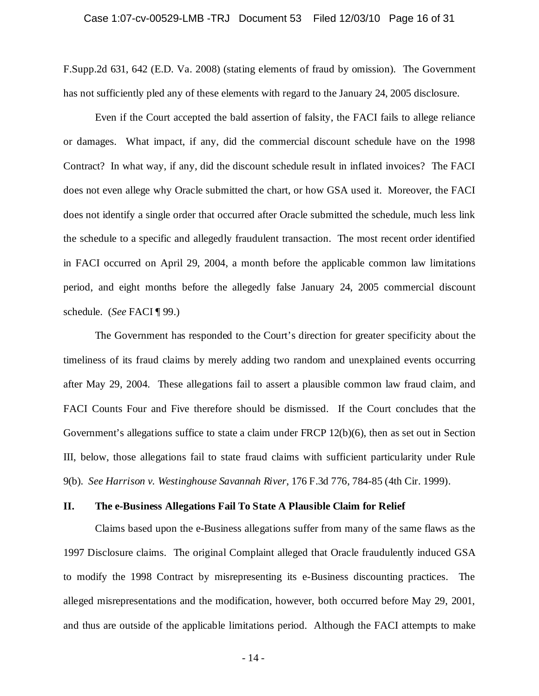F.Supp.2d 631, 642 (E.D. Va. 2008) (stating elements of fraud by omission). The Government has not sufficiently pled any of these elements with regard to the January 24, 2005 disclosure.

Even if the Court accepted the bald assertion of falsity, the FACI fails to allege reliance or damages. What impact, if any, did the commercial discount schedule have on the 1998 Contract? In what way, if any, did the discount schedule result in inflated invoices? The FACI does not even allege why Oracle submitted the chart, or how GSA used it. Moreover, the FACI does not identify a single order that occurred after Oracle submitted the schedule, much less link the schedule to a specific and allegedly fraudulent transaction. The most recent order identified in FACI occurred on April 29, 2004, a month before the applicable common law limitations period, and eight months before the allegedly false January 24, 2005 commercial discount schedule. (*See* FACI ¶ 99.)

The Government has responded to the Court's direction for greater specificity about the timeliness of its fraud claims by merely adding two random and unexplained events occurring after May 29, 2004. These allegations fail to assert a plausible common law fraud claim, and FACI Counts Four and Five therefore should be dismissed. If the Court concludes that the Government's allegations suffice to state a claim under FRCP 12(b)(6), then as set out in Section III, below, those allegations fail to state fraud claims with sufficient particularity under Rule 9(b). *See Harrison v. Westinghouse Savannah River*, 176 F.3d 776, 784-85 (4th Cir. 1999).

#### **II. The e-Business Allegations Fail To State A Plausible Claim for Relief**

Claims based upon the e-Business allegations suffer from many of the same flaws as the 1997 Disclosure claims. The original Complaint alleged that Oracle fraudulently induced GSA to modify the 1998 Contract by misrepresenting its e-Business discounting practices. The alleged misrepresentations and the modification, however, both occurred before May 29, 2001, and thus are outside of the applicable limitations period. Although the FACI attempts to make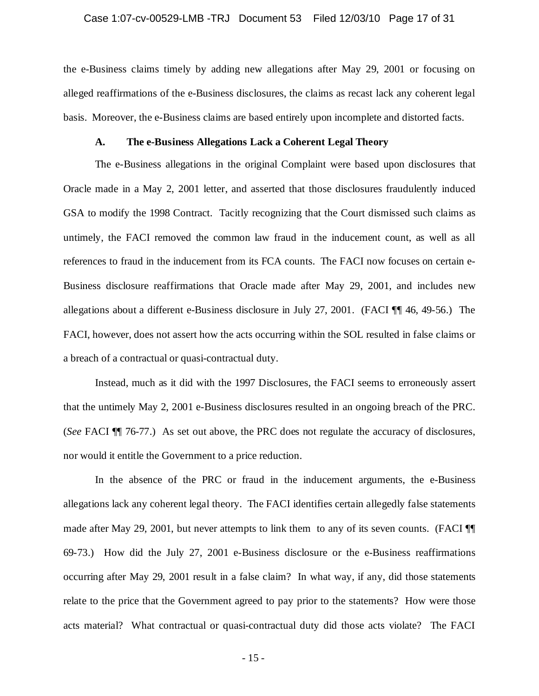#### Case 1:07-cv-00529-LMB -TRJ Document 53 Filed 12/03/10 Page 17 of 31

the e-Business claims timely by adding new allegations after May 29, 2001 or focusing on alleged reaffirmations of the e-Business disclosures, the claims as recast lack any coherent legal basis. Moreover, the e-Business claims are based entirely upon incomplete and distorted facts.

#### **A. The e-Business Allegations Lack a Coherent Legal Theory**

The e-Business allegations in the original Complaint were based upon disclosures that Oracle made in a May 2, 2001 letter, and asserted that those disclosures fraudulently induced GSA to modify the 1998 Contract. Tacitly recognizing that the Court dismissed such claims as untimely, the FACI removed the common law fraud in the inducement count, as well as all references to fraud in the inducement from its FCA counts. The FACI now focuses on certain e-Business disclosure reaffirmations that Oracle made after May 29, 2001, and includes new allegations about a different e-Business disclosure in July 27, 2001. (FACI ¶¶ 46, 49-56.) The FACI, however, does not assert how the acts occurring within the SOL resulted in false claims or a breach of a contractual or quasi-contractual duty.

Instead, much as it did with the 1997 Disclosures, the FACI seems to erroneously assert that the untimely May 2, 2001 e-Business disclosures resulted in an ongoing breach of the PRC. (*See* FACI ¶¶ 76-77.) As set out above, the PRC does not regulate the accuracy of disclosures, nor would it entitle the Government to a price reduction.

In the absence of the PRC or fraud in the inducement arguments, the e-Business allegations lack any coherent legal theory. The FACI identifies certain allegedly false statements made after May 29, 2001, but never attempts to link them to any of its seven counts. (FACI  $\P$ 69-73.) How did the July 27, 2001 e-Business disclosure or the e-Business reaffirmations occurring after May 29, 2001 result in a false claim? In what way, if any, did those statements relate to the price that the Government agreed to pay prior to the statements? How were those acts material? What contractual or quasi-contractual duty did those acts violate? The FACI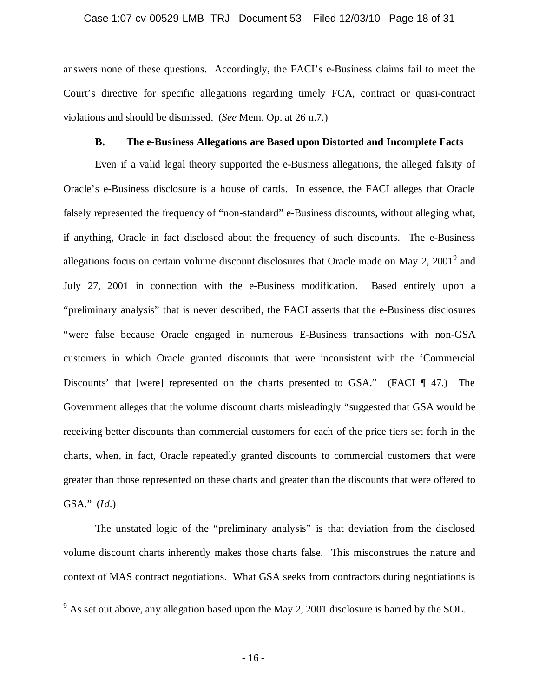#### Case 1:07-cv-00529-LMB -TRJ Document 53 Filed 12/03/10 Page 18 of 31

answers none of these questions. Accordingly, the FACI's e-Business claims fail to meet the Court's directive for specific allegations regarding timely FCA, contract or quasi-contract violations and should be dismissed. (*See* Mem. Op. at 26 n.7.)

## **B. The e-Business Allegations are Based upon Distorted and Incomplete Facts**

Even if a valid legal theory supported the e-Business allegations, the alleged falsity of Oracle's e-Business disclosure is a house of cards. In essence, the FACI alleges that Oracle falsely represented the frequency of "non-standard" e-Business discounts, without alleging what, if anything, Oracle in fact disclosed about the frequency of such discounts. The e-Business allegations focus on certain volume discount disclosures that Oracle made on May 2,  $2001<sup>9</sup>$  and July 27, 2001 in connection with the e-Business modification. Based entirely upon a "preliminary analysis" that is never described, the FACI asserts that the e-Business disclosures "were false because Oracle engaged in numerous E-Business transactions with non-GSA customers in which Oracle granted discounts that were inconsistent with the 'Commercial Discounts' that [were] represented on the charts presented to GSA." (FACI ¶ 47.) The Government alleges that the volume discount charts misleadingly "suggested that GSA would be receiving better discounts than commercial customers for each of the price tiers set forth in the charts, when, in fact, Oracle repeatedly granted discounts to commercial customers that were greater than those represented on these charts and greater than the discounts that were offered to GSA." (*Id.*)

The unstated logic of the "preliminary analysis" is that deviation from the disclosed volume discount charts inherently makes those charts false. This misconstrues the nature and context of MAS contract negotiations. What GSA seeks from contractors during negotiations is

 $9$  As set out above, any allegation based upon the May 2, 2001 disclosure is barred by the SOL.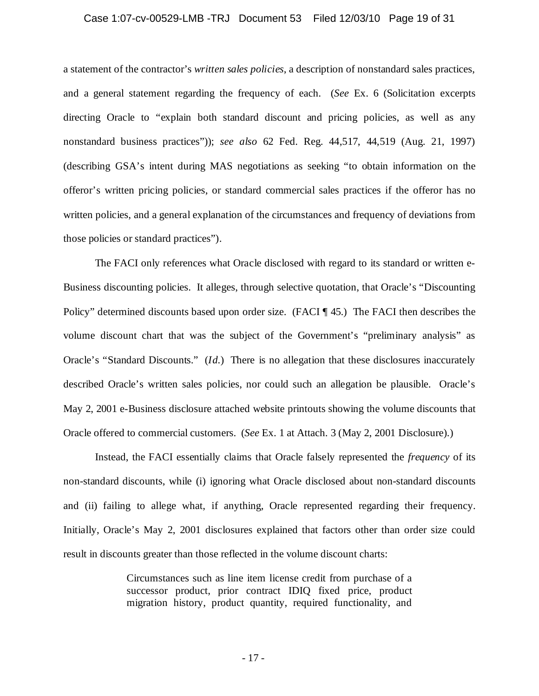#### Case 1:07-cv-00529-LMB -TRJ Document 53 Filed 12/03/10 Page 19 of 31

a statement of the contractor's *written sales policies*, a description of nonstandard sales practices, and a general statement regarding the frequency of each. (*See* Ex. 6 (Solicitation excerpts directing Oracle to "explain both standard discount and pricing policies, as well as any nonstandard business practices")); *see also* 62 Fed. Reg. 44,517, 44,519 (Aug. 21, 1997) (describing GSA's intent during MAS negotiations as seeking "to obtain information on the offeror's written pricing policies, or standard commercial sales practices if the offeror has no written policies, and a general explanation of the circumstances and frequency of deviations from those policies or standard practices").

The FACI only references what Oracle disclosed with regard to its standard or written e-Business discounting policies. It alleges, through selective quotation, that Oracle's "Discounting Policy" determined discounts based upon order size. (FACI ¶ 45.) The FACI then describes the volume discount chart that was the subject of the Government's "preliminary analysis" as Oracle's "Standard Discounts." (*Id.*) There is no allegation that these disclosures inaccurately described Oracle's written sales policies, nor could such an allegation be plausible. Oracle's May 2, 2001 e-Business disclosure attached website printouts showing the volume discounts that Oracle offered to commercial customers. (*See* Ex. 1 at Attach. 3 (May 2, 2001 Disclosure).)

Instead, the FACI essentially claims that Oracle falsely represented the *frequency* of its non-standard discounts, while (i) ignoring what Oracle disclosed about non-standard discounts and (ii) failing to allege what, if anything, Oracle represented regarding their frequency. Initially, Oracle's May 2, 2001 disclosures explained that factors other than order size could result in discounts greater than those reflected in the volume discount charts:

> Circumstances such as line item license credit from purchase of a successor product, prior contract IDIQ fixed price, product migration history, product quantity, required functionality, and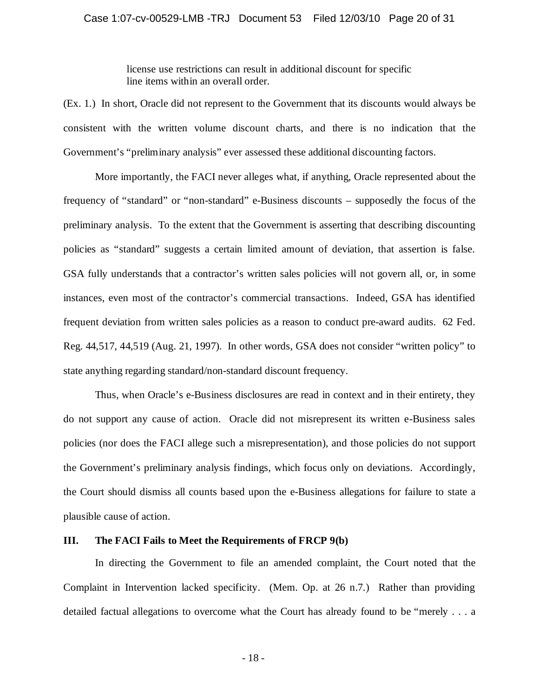license use restrictions can result in additional discount for specific line items within an overall order.

(Ex. 1.) In short, Oracle did not represent to the Government that its discounts would always be consistent with the written volume discount charts, and there is no indication that the Government's "preliminary analysis" ever assessed these additional discounting factors.

More importantly, the FACI never alleges what, if anything, Oracle represented about the frequency of "standard" or "non-standard" e-Business discounts – supposedly the focus of the preliminary analysis. To the extent that the Government is asserting that describing discounting policies as "standard" suggests a certain limited amount of deviation, that assertion is false. GSA fully understands that a contractor's written sales policies will not govern all, or, in some instances, even most of the contractor's commercial transactions. Indeed, GSA has identified frequent deviation from written sales policies as a reason to conduct pre-award audits. 62 Fed. Reg. 44,517, 44,519 (Aug. 21, 1997). In other words, GSA does not consider "written policy" to state anything regarding standard/non-standard discount frequency.

Thus, when Oracle's e-Business disclosures are read in context and in their entirety, they do not support any cause of action. Oracle did not misrepresent its written e-Business sales policies (nor does the FACI allege such a misrepresentation), and those policies do not support the Government's preliminary analysis findings, which focus only on deviations. Accordingly, the Court should dismiss all counts based upon the e-Business allegations for failure to state a plausible cause of action.

### **III. The FACI Fails to Meet the Requirements of FRCP 9(b)**

In directing the Government to file an amended complaint, the Court noted that the Complaint in Intervention lacked specificity. (Mem. Op. at 26 n.7.) Rather than providing detailed factual allegations to overcome what the Court has already found to be "merely . . . a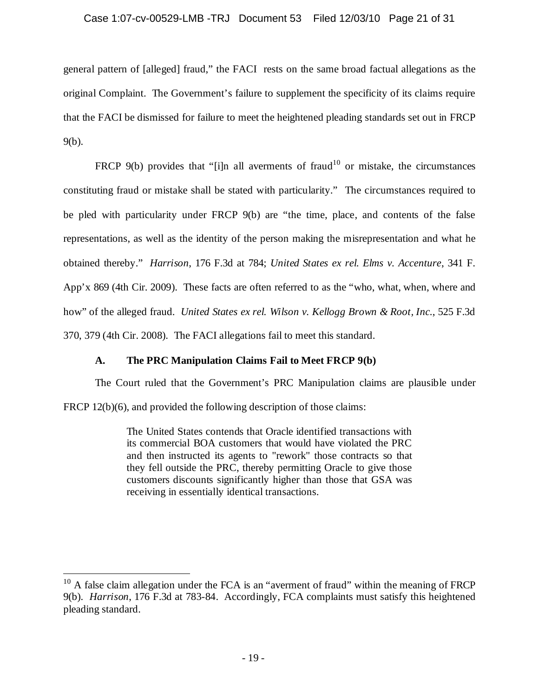## Case 1:07-cv-00529-LMB -TRJ Document 53 Filed 12/03/10 Page 21 of 31

general pattern of [alleged] fraud," the FACI rests on the same broad factual allegations as the original Complaint. The Government's failure to supplement the specificity of its claims require that the FACI be dismissed for failure to meet the heightened pleading standards set out in FRCP 9(b).

FRCP 9(b) provides that "[i]n all averments of fraud<sup>10</sup> or mistake, the circumstances constituting fraud or mistake shall be stated with particularity." The circumstances required to be pled with particularity under FRCP 9(b) are "the time, place, and contents of the false representations, as well as the identity of the person making the misrepresentation and what he obtained thereby." *Harrison*, 176 F.3d at 784; *United States ex rel. Elms v. Accenture*, 341 F. App'x 869 (4th Cir. 2009). These facts are often referred to as the "who, what, when, where and how" of the alleged fraud. *United States ex rel. Wilson v. Kellogg Brown & Root, Inc.*, 525 F.3d 370, 379 (4th Cir. 2008). The FACI allegations fail to meet this standard.

# **A. The PRC Manipulation Claims Fail to Meet FRCP 9(b)**

The Court ruled that the Government's PRC Manipulation claims are plausible under FRCP 12(b)(6), and provided the following description of those claims:

> The United States contends that Oracle identified transactions with its commercial BOA customers that would have violated the PRC and then instructed its agents to "rework" those contracts so that they fell outside the PRC, thereby permitting Oracle to give those customers discounts significantly higher than those that GSA was receiving in essentially identical transactions.

 $10$  A false claim allegation under the FCA is an "averment of fraud" within the meaning of FRCP 9(b). *Harrison*, 176 F.3d at 783-84. Accordingly, FCA complaints must satisfy this heightened pleading standard.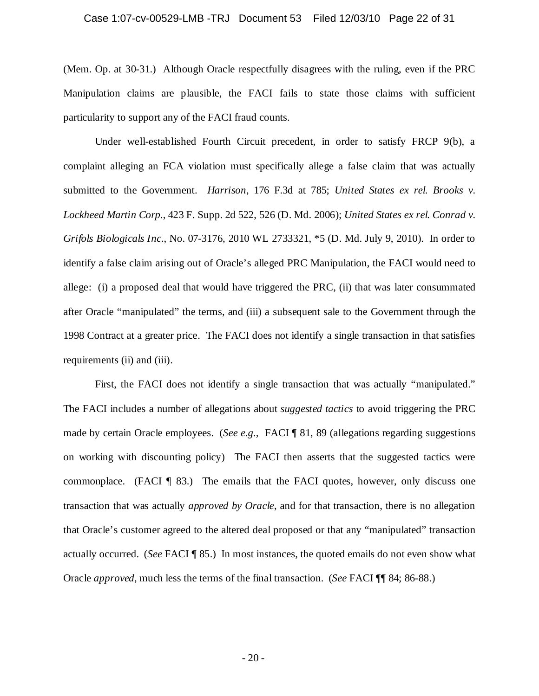# Case 1:07-cv-00529-LMB -TRJ Document 53 Filed 12/03/10 Page 22 of 31

(Mem. Op. at 30-31.) Although Oracle respectfully disagrees with the ruling, even if the PRC Manipulation claims are plausible, the FACI fails to state those claims with sufficient particularity to support any of the FACI fraud counts.

Under well-established Fourth Circuit precedent, in order to satisfy FRCP 9(b), a complaint alleging an FCA violation must specifically allege a false claim that was actually submitted to the Government. *Harrison*, 176 F.3d at 785; *United States ex rel. Brooks v. Lockheed Martin Corp.*, 423 F. Supp. 2d 522, 526 (D. Md. 2006); *United States ex rel. Conrad v. Grifols Biologicals Inc.*, No. 07-3176, 2010 WL 2733321, \*5 (D. Md. July 9, 2010). In order to identify a false claim arising out of Oracle's alleged PRC Manipulation, the FACI would need to allege: (i) a proposed deal that would have triggered the PRC, (ii) that was later consummated after Oracle "manipulated" the terms, and (iii) a subsequent sale to the Government through the 1998 Contract at a greater price. The FACI does not identify a single transaction in that satisfies requirements (ii) and (iii).

First, the FACI does not identify a single transaction that was actually "manipulated." The FACI includes a number of allegations about *suggested tactics* to avoid triggering the PRC made by certain Oracle employees. (*See e.g.,* FACI ¶ 81, 89 (allegations regarding suggestions on working with discounting policy) The FACI then asserts that the suggested tactics were commonplace. (FACI ¶ 83.) The emails that the FACI quotes, however, only discuss one transaction that was actually *approved by Oracle*, and for that transaction, there is no allegation that Oracle's customer agreed to the altered deal proposed or that any "manipulated" transaction actually occurred. (*See* FACI ¶ 85.) In most instances, the quoted emails do not even show what Oracle *approved*, much less the terms of the final transaction. (*See* FACI ¶¶ 84; 86-88.)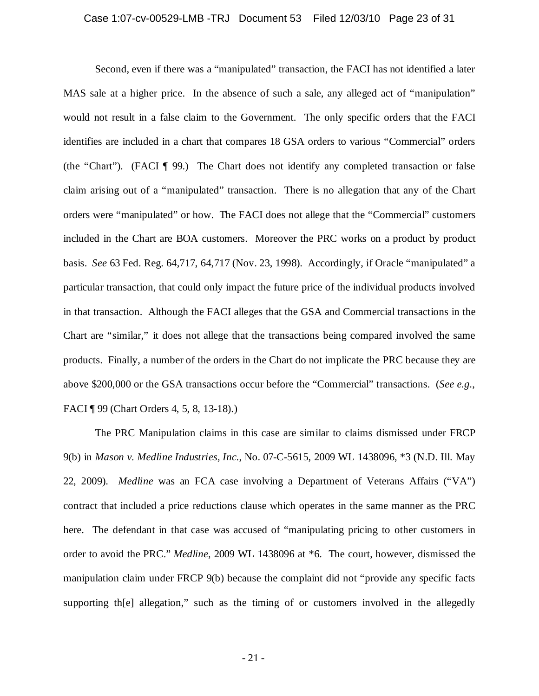# Case 1:07-cv-00529-LMB -TRJ Document 53 Filed 12/03/10 Page 23 of 31

Second, even if there was a "manipulated" transaction, the FACI has not identified a later MAS sale at a higher price. In the absence of such a sale, any alleged act of "manipulation" would not result in a false claim to the Government. The only specific orders that the FACI identifies are included in a chart that compares 18 GSA orders to various "Commercial" orders (the "Chart"). (FACI ¶ 99.) The Chart does not identify any completed transaction or false claim arising out of a "manipulated" transaction. There is no allegation that any of the Chart orders were "manipulated" or how. The FACI does not allege that the "Commercial" customers included in the Chart are BOA customers. Moreover the PRC works on a product by product basis. *See* 63 Fed. Reg. 64,717, 64,717 (Nov. 23, 1998). Accordingly, if Oracle "manipulated" a particular transaction, that could only impact the future price of the individual products involved in that transaction. Although the FACI alleges that the GSA and Commercial transactions in the Chart are "similar," it does not allege that the transactions being compared involved the same products. Finally, a number of the orders in the Chart do not implicate the PRC because they are above \$200,000 or the GSA transactions occur before the "Commercial" transactions. (*See e.g.*, FACI ¶ 99 (Chart Orders 4, 5, 8, 13-18).)

The PRC Manipulation claims in this case are similar to claims dismissed under FRCP 9(b) in *Mason v. Medline Industries, Inc.*, No. 07-C-5615, 2009 WL 1438096, \*3 (N.D. Ill. May 22, 2009). *Medline* was an FCA case involving a Department of Veterans Affairs ("VA") contract that included a price reductions clause which operates in the same manner as the PRC here. The defendant in that case was accused of "manipulating pricing to other customers in order to avoid the PRC." *Medline*, 2009 WL 1438096 at \*6. The court, however, dismissed the manipulation claim under FRCP 9(b) because the complaint did not "provide any specific facts supporting th[e] allegation," such as the timing of or customers involved in the allegedly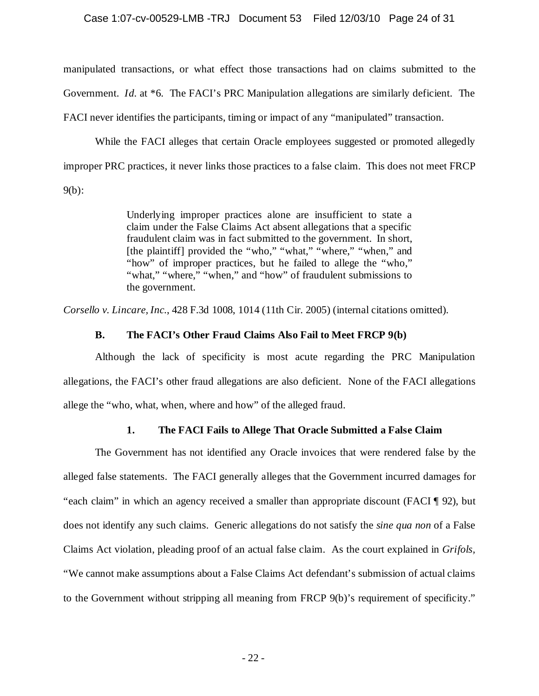# Case 1:07-cv-00529-LMB -TRJ Document 53 Filed 12/03/10 Page 24 of 31

manipulated transactions, or what effect those transactions had on claims submitted to the Government. *Id.* at \*6. The FACI's PRC Manipulation allegations are similarly deficient. The FACI never identifies the participants, timing or impact of any "manipulated" transaction.

While the FACI alleges that certain Oracle employees suggested or promoted allegedly improper PRC practices, it never links those practices to a false claim. This does not meet FRCP 9(b):

> Underlying improper practices alone are insufficient to state a claim under the False Claims Act absent allegations that a specific fraudulent claim was in fact submitted to the government. In short, [the plaintiff] provided the "who," "what," "where," "when," and "how" of improper practices, but he failed to allege the "who," "what," "where," "when," and "how" of fraudulent submissions to the government.

*Corsello v. Lincare, Inc.*, 428 F.3d 1008, 1014 (11th Cir. 2005) (internal citations omitted).

## **B. The FACI's Other Fraud Claims Also Fail to Meet FRCP 9(b)**

Although the lack of specificity is most acute regarding the PRC Manipulation allegations, the FACI's other fraud allegations are also deficient. None of the FACI allegations allege the "who, what, when, where and how" of the alleged fraud.

## **1. The FACI Fails to Allege That Oracle Submitted a False Claim**

The Government has not identified any Oracle invoices that were rendered false by the alleged false statements. The FACI generally alleges that the Government incurred damages for "each claim" in which an agency received a smaller than appropriate discount (FACI ¶ 92), but does not identify any such claims. Generic allegations do not satisfy the *sine qua non* of a False Claims Act violation, pleading proof of an actual false claim. As the court explained in *Grifols,* "We cannot make assumptions about a False Claims Act defendant's submission of actual claims to the Government without stripping all meaning from FRCP 9(b)'s requirement of specificity."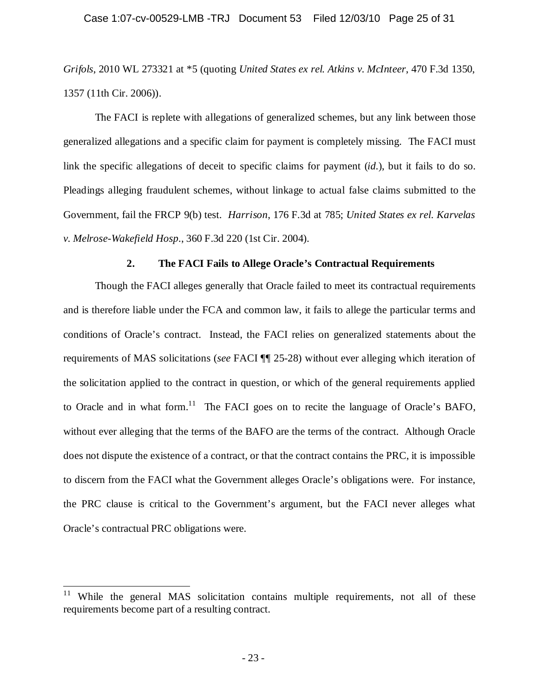# Case 1:07-cv-00529-LMB -TRJ Document 53 Filed 12/03/10 Page 25 of 31

*Grifols*, 2010 WL 273321 at \*5 (quoting *United States ex rel. Atkins v. McInteer*, 470 F.3d 1350, 1357 (11th Cir. 2006)).

The FACI is replete with allegations of generalized schemes, but any link between those generalized allegations and a specific claim for payment is completely missing. The FACI must link the specific allegations of deceit to specific claims for payment (*id.*), but it fails to do so. Pleadings alleging fraudulent schemes, without linkage to actual false claims submitted to the Government, fail the FRCP 9(b) test. *Harrison*, 176 F.3d at 785; *United States ex rel. Karvelas v. Melrose-Wakefield Hosp.*, 360 F.3d 220 (1st Cir. 2004).

### **2. The FACI Fails to Allege Oracle's Contractual Requirements**

Though the FACI alleges generally that Oracle failed to meet its contractual requirements and is therefore liable under the FCA and common law, it fails to allege the particular terms and conditions of Oracle's contract. Instead, the FACI relies on generalized statements about the requirements of MAS solicitations (*see* FACI ¶¶ 25-28) without ever alleging which iteration of the solicitation applied to the contract in question, or which of the general requirements applied to Oracle and in what form.<sup>11</sup> The FACI goes on to recite the language of Oracle's BAFO, without ever alleging that the terms of the BAFO are the terms of the contract. Although Oracle does not dispute the existence of a contract, or that the contract contains the PRC, it is impossible to discern from the FACI what the Government alleges Oracle's obligations were. For instance, the PRC clause is critical to the Government's argument, but the FACI never alleges what Oracle's contractual PRC obligations were.

While the general MAS solicitation contains multiple requirements, not all of these requirements become part of a resulting contract.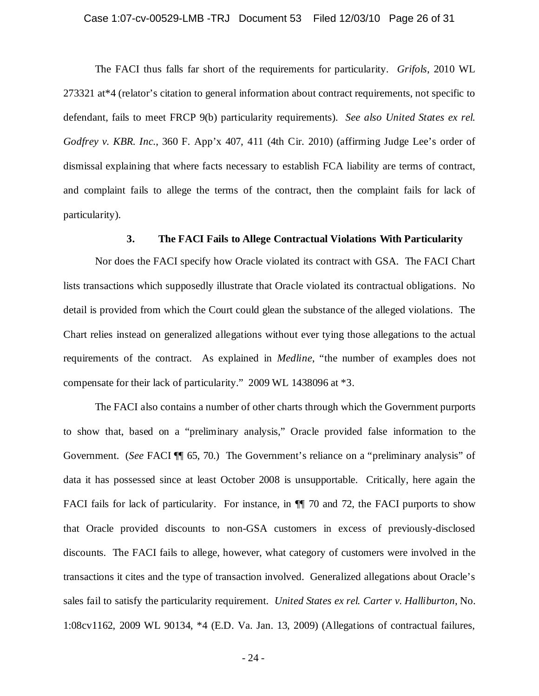#### Case 1:07-cv-00529-LMB -TRJ Document 53 Filed 12/03/10 Page 26 of 31

The FACI thus falls far short of the requirements for particularity. *Grifols*, 2010 WL 273321 at\*4 (relator's citation to general information about contract requirements, not specific to defendant, fails to meet FRCP 9(b) particularity requirements). *See also United States ex rel. Godfrey v. KBR. Inc.*, 360 F. App'x 407, 411 (4th Cir. 2010) (affirming Judge Lee's order of dismissal explaining that where facts necessary to establish FCA liability are terms of contract, and complaint fails to allege the terms of the contract, then the complaint fails for lack of particularity).

## **3. The FACI Fails to Allege Contractual Violations With Particularity**

Nor does the FACI specify how Oracle violated its contract with GSA. The FACI Chart lists transactions which supposedly illustrate that Oracle violated its contractual obligations. No detail is provided from which the Court could glean the substance of the alleged violations. The Chart relies instead on generalized allegations without ever tying those allegations to the actual requirements of the contract. As explained in *Medline*, "the number of examples does not compensate for their lack of particularity." 2009 WL 1438096 at \*3.

The FACI also contains a number of other charts through which the Government purports to show that, based on a "preliminary analysis," Oracle provided false information to the Government. (*See* FACI  $\P$  65, 70.) The Government's reliance on a "preliminary analysis" of data it has possessed since at least October 2008 is unsupportable. Critically, here again the FACI fails for lack of particularity. For instance, in  $\P$  70 and 72, the FACI purports to show that Oracle provided discounts to non-GSA customers in excess of previously-disclosed discounts. The FACI fails to allege, however, what category of customers were involved in the transactions it cites and the type of transaction involved. Generalized allegations about Oracle's sales fail to satisfy the particularity requirement. *United States ex rel. Carter v. Halliburton*, No. 1:08cv1162, 2009 WL 90134, \*4 (E.D. Va. Jan. 13, 2009) (Allegations of contractual failures,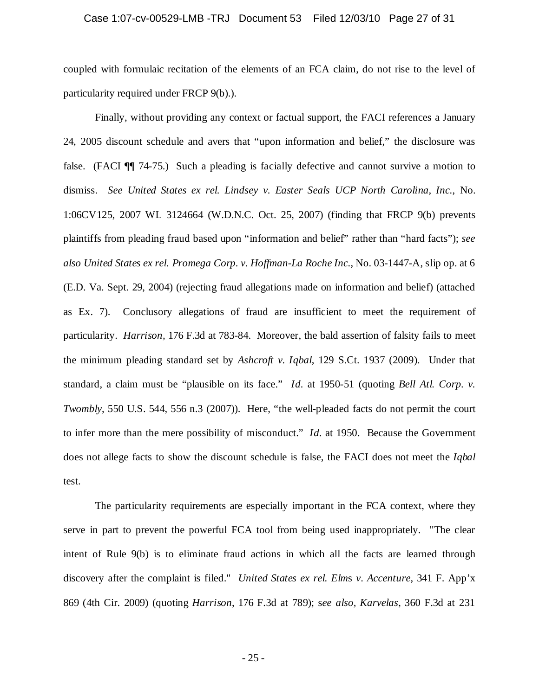#### Case 1:07-cv-00529-LMB -TRJ Document 53 Filed 12/03/10 Page 27 of 31

coupled with formulaic recitation of the elements of an FCA claim, do not rise to the level of particularity required under FRCP 9(b).).

Finally, without providing any context or factual support, the FACI references a January 24, 2005 discount schedule and avers that "upon information and belief," the disclosure was false. (FACI ¶¶ 74-75.) Such a pleading is facially defective and cannot survive a motion to dismiss. *See United States ex rel. Lindsey v. Easter Seals UCP North Carolina, Inc.*, No. 1:06CV125, 2007 WL 3124664 (W.D.N.C. Oct. 25, 2007) (finding that FRCP 9(b) prevents plaintiffs from pleading fraud based upon "information and belief" rather than "hard facts"); *see also United States ex rel. Promega Corp. v. Hoffman-La Roche Inc.*, No. 03-1447-A, slip op. at 6 (E.D. Va. Sept. 29, 2004) (rejecting fraud allegations made on information and belief) (attached as Ex. 7). Conclusory allegations of fraud are insufficient to meet the requirement of particularity. *Harrison,* 176 F.3d at 783-84. Moreover, the bald assertion of falsity fails to meet the minimum pleading standard set by *Ashcroft v. Iqbal*, 129 S.Ct. 1937 (2009). Under that standard, a claim must be "plausible on its face." *Id.* at 1950-51 (quoting *Bell Atl. Corp. v. Twombly*, 550 U.S. 544, 556 n.3 (2007)). Here, "the well-pleaded facts do not permit the court to infer more than the mere possibility of misconduct." *Id.* at 1950. Because the Government does not allege facts to show the discount schedule is false, the FACI does not meet the *Iqbal* test.

The particularity requirements are especially important in the FCA context, where they serve in part to prevent the powerful FCA tool from being used inappropriately. "The clear intent of Rule 9(b) is to eliminate fraud actions in which all the facts are learned through discovery after the complaint is filed." *United States ex rel. Elm*s *v*. *Accenture*, 341 F. App'x 869 (4th Cir. 2009) (quoting *Harrison*, 176 F.3d at 789); s*ee also, Karvelas*, 360 F.3d at 231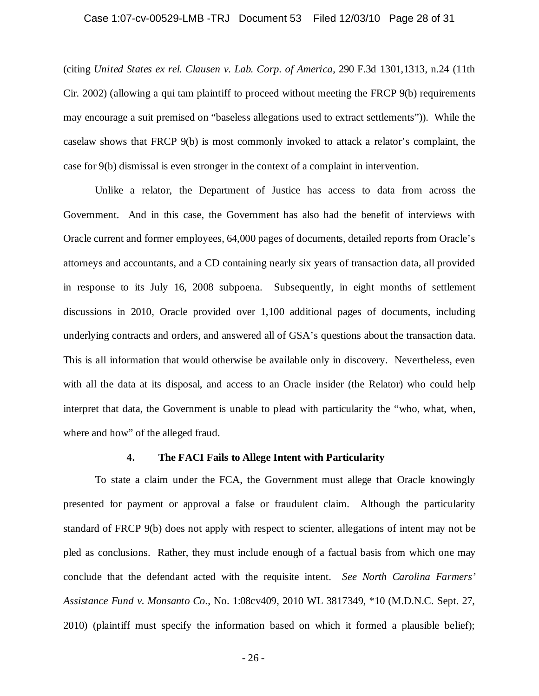#### Case 1:07-cv-00529-LMB -TRJ Document 53 Filed 12/03/10 Page 28 of 31

(citing *United States ex rel. Clausen v. Lab. Corp. of America*, 290 F.3d 1301,1313, n.24 (11th Cir. 2002) (allowing a qui tam plaintiff to proceed without meeting the FRCP 9(b) requirements may encourage a suit premised on "baseless allegations used to extract settlements")). While the caselaw shows that FRCP 9(b) is most commonly invoked to attack a relator's complaint, the case for 9(b) dismissal is even stronger in the context of a complaint in intervention.

Unlike a relator, the Department of Justice has access to data from across the Government. And in this case, the Government has also had the benefit of interviews with Oracle current and former employees, 64,000 pages of documents, detailed reports from Oracle's attorneys and accountants, and a CD containing nearly six years of transaction data, all provided in response to its July 16, 2008 subpoena. Subsequently, in eight months of settlement discussions in 2010, Oracle provided over 1,100 additional pages of documents, including underlying contracts and orders, and answered all of GSA's questions about the transaction data. This is all information that would otherwise be available only in discovery. Nevertheless, even with all the data at its disposal, and access to an Oracle insider (the Relator) who could help interpret that data, the Government is unable to plead with particularity the "who, what, when, where and how" of the alleged fraud.

#### **4. The FACI Fails to Allege Intent with Particularity**

To state a claim under the FCA, the Government must allege that Oracle knowingly presented for payment or approval a false or fraudulent claim. Although the particularity standard of FRCP 9(b) does not apply with respect to scienter, allegations of intent may not be pled as conclusions. Rather, they must include enough of a factual basis from which one may conclude that the defendant acted with the requisite intent. *See North Carolina Farmers' Assistance Fund v. Monsanto Co.*, No. 1:08cv409, 2010 WL 3817349, \*10 (M.D.N.C. Sept. 27, 2010) (plaintiff must specify the information based on which it formed a plausible belief);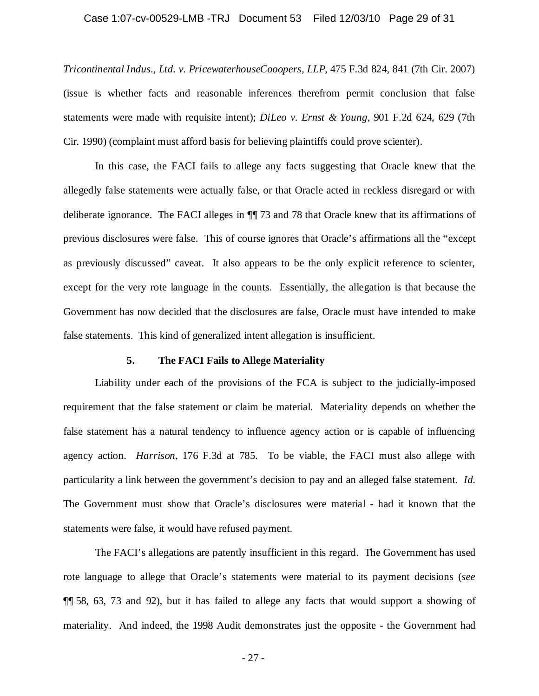#### Case 1:07-cv-00529-LMB -TRJ Document 53 Filed 12/03/10 Page 29 of 31

*Tricontinental Indus., Ltd. v. PricewaterhouseCooopers, LLP,* 475 F.3d 824, 841 (7th Cir. 2007) (issue is whether facts and reasonable inferences therefrom permit conclusion that false statements were made with requisite intent); *DiLeo v. Ernst & Young,* 901 F.2d 624, 629 (7th Cir. 1990) (complaint must afford basis for believing plaintiffs could prove scienter).

In this case, the FACI fails to allege any facts suggesting that Oracle knew that the allegedly false statements were actually false, or that Oracle acted in reckless disregard or with deliberate ignorance. The FACI alleges in ¶¶ 73 and 78 that Oracle knew that its affirmations of previous disclosures were false. This of course ignores that Oracle's affirmations all the "except as previously discussed" caveat. It also appears to be the only explicit reference to scienter, except for the very rote language in the counts. Essentially, the allegation is that because the Government has now decided that the disclosures are false, Oracle must have intended to make false statements. This kind of generalized intent allegation is insufficient.

## **5. The FACI Fails to Allege Materiality**

Liability under each of the provisions of the FCA is subject to the judicially-imposed requirement that the false statement or claim be material. Materiality depends on whether the false statement has a natural tendency to influence agency action or is capable of influencing agency action. *Harrison*, 176 F.3d at 785. To be viable, the FACI must also allege with particularity a link between the government's decision to pay and an alleged false statement. *Id.* The Government must show that Oracle's disclosures were material - had it known that the statements were false, it would have refused payment.

The FACI's allegations are patently insufficient in this regard. The Government has used rote language to allege that Oracle's statements were material to its payment decisions (*see* ¶¶ 58, 63, 73 and 92), but it has failed to allege any facts that would support a showing of materiality. And indeed, the 1998 Audit demonstrates just the opposite - the Government had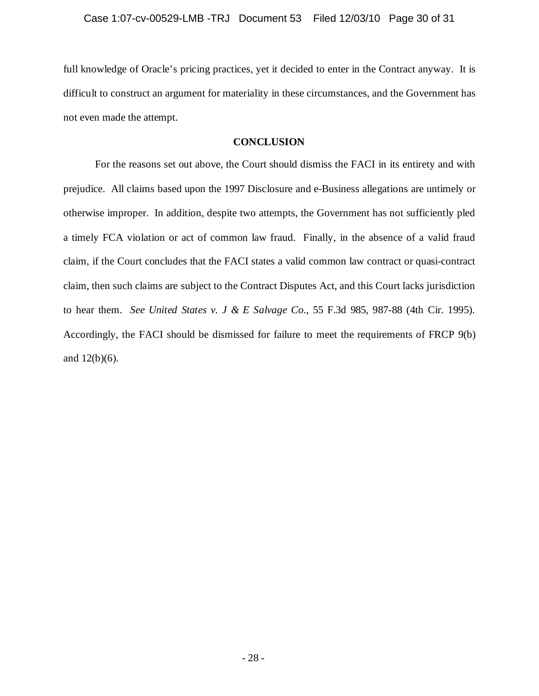full knowledge of Oracle's pricing practices, yet it decided to enter in the Contract anyway. It is difficult to construct an argument for materiality in these circumstances, and the Government has not even made the attempt.

### **CONCLUSION**

For the reasons set out above, the Court should dismiss the FACI in its entirety and with prejudice. All claims based upon the 1997 Disclosure and e-Business allegations are untimely or otherwise improper. In addition, despite two attempts, the Government has not sufficiently pled a timely FCA violation or act of common law fraud. Finally, in the absence of a valid fraud claim, if the Court concludes that the FACI states a valid common law contract or quasi-contract claim, then such claims are subject to the Contract Disputes Act, and this Court lacks jurisdiction to hear them. *See United States v. J & E Salvage Co.*, 55 F.3d 985, 987-88 (4th Cir. 1995). Accordingly, the FACI should be dismissed for failure to meet the requirements of FRCP 9(b) and 12(b)(6).